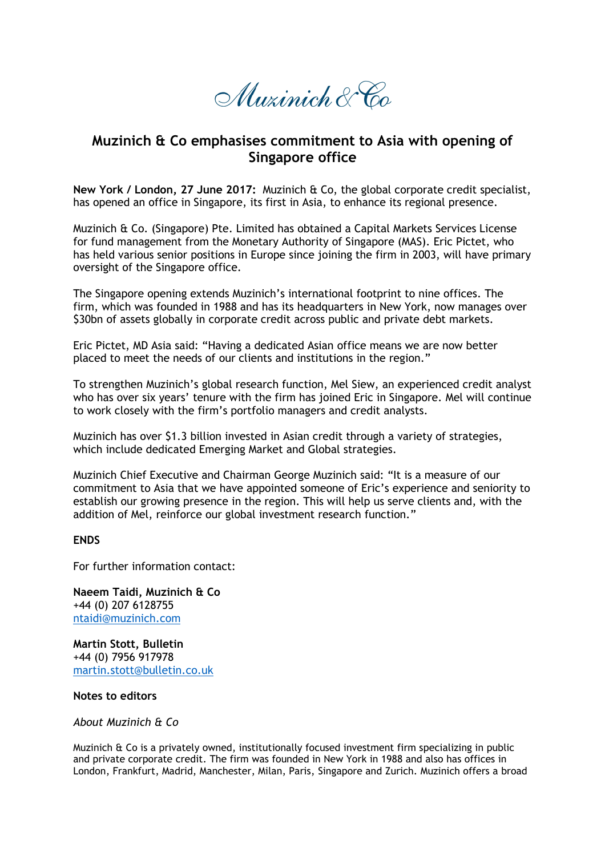Muzinich & Co

## **Muzinich & Co emphasises commitment to Asia with opening of Singapore office**

**New York / London, 27 June 2017:** Muzinich & Co, the global corporate credit specialist, has opened an office in Singapore, its first in Asia, to enhance its regional presence.

Muzinich & Co. (Singapore) Pte. Limited has obtained a Capital Markets Services License for fund management from the Monetary Authority of Singapore (MAS). Eric Pictet, who has held various senior positions in Europe since joining the firm in 2003, will have primary oversight of the Singapore office.

The Singapore opening extends Muzinich's international footprint to nine offices. The firm, which was founded in 1988 and has its headquarters in New York, now manages over \$30bn of assets globally in corporate credit across public and private debt markets.

Eric Pictet, MD Asia said: "Having a dedicated Asian office means we are now better placed to meet the needs of our clients and institutions in the region."

To strengthen Muzinich's global research function, Mel Siew, an experienced credit analyst who has over six years' tenure with the firm has joined Eric in Singapore. Mel will continue to work closely with the firm's portfolio managers and credit analysts.

Muzinich has over \$1.3 billion invested in Asian credit through a variety of strategies, which include dedicated Emerging Market and Global strategies.

Muzinich Chief Executive and Chairman George Muzinich said: "It is a measure of our commitment to Asia that we have appointed someone of Eric's experience and seniority to establish our growing presence in the region. This will help us serve clients and, with the addition of Mel, reinforce our global investment research function."

## **ENDS**

For further information contact:

**Naeem Taidi, Muzinich & Co** +44 (0) 207 6128755 [ntaidi@muzinich.com](mailto:ntaidi@muzinich.com)

**Martin Stott, Bulletin** +44 (0) 7956 917978 [martin.stott@bulletin.co.uk](mailto:martin.stott@bulletin.co.uk)

## **Notes to editors**

*About Muzinich & Co*

Muzinich & Co is a privately owned, institutionally focused investment firm specializing in public and private corporate credit. The firm was founded in New York in 1988 and also has offices in London, Frankfurt, Madrid, Manchester, Milan, Paris, Singapore and Zurich. Muzinich offers a broad